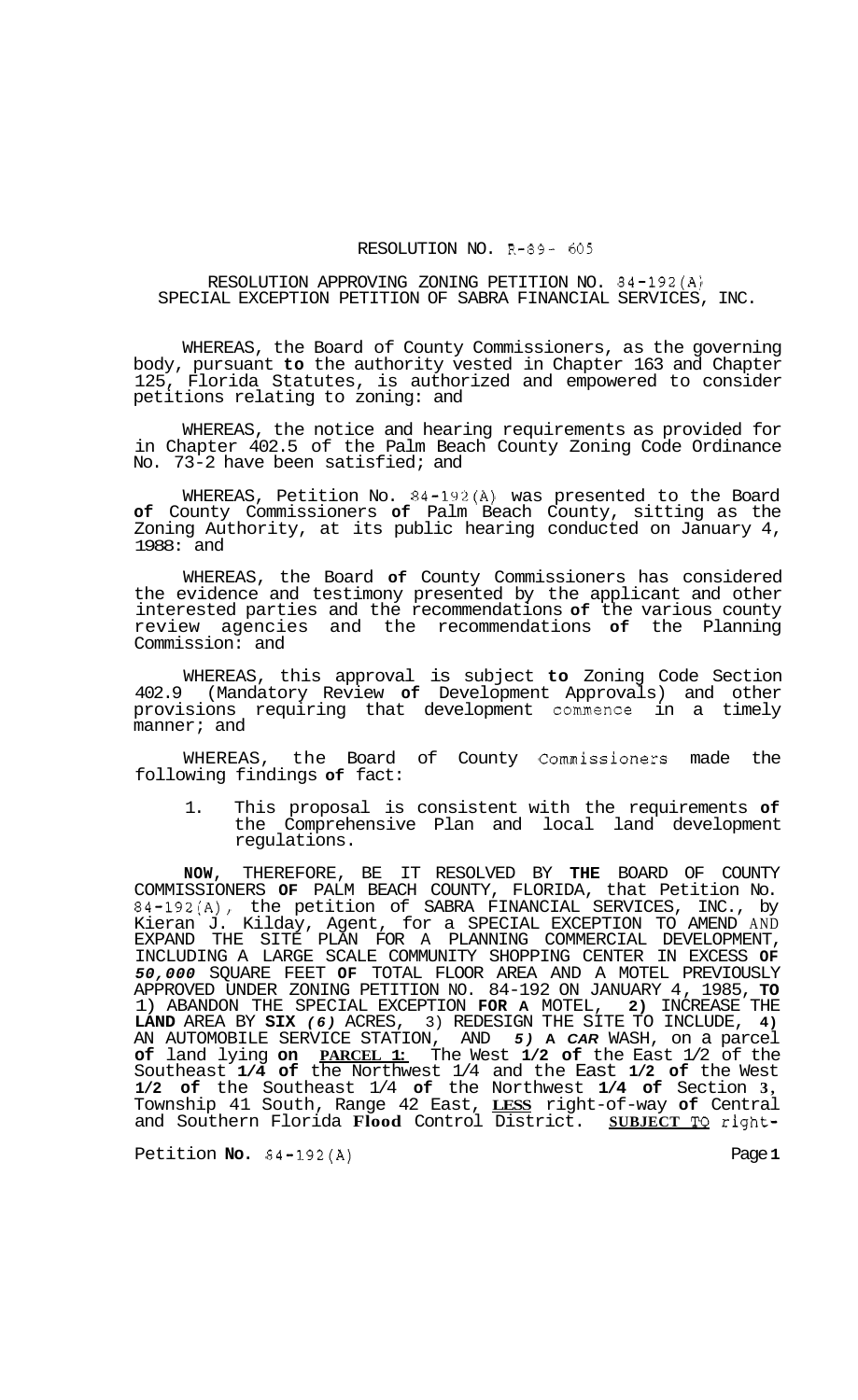## RESOLUTION NO. R-89- *605*

## RESOLUTION APPROVING ZONING PETITION NO. 84-192(A) SPECIAL EXCEPTION PETITION OF SABRA FINANCIAL SERVICES, INC.

WHEREAS, the Board of County Commissioners, as the governing body, pursuant **to** the authority vested in Chapter 163 and Chapter 125, Florida Statutes, is authorized and empowered to consider petitions relating to zoning: and

WHEREAS, the notice and hearing requirements as provided for in Chapter 402.5 of the Palm Beach County Zoning Code Ordinance No. 73-2 have been satisfied; and

WHEREAS, Petition No. 84-192(A) was presented to the Board **of** County Commissioners **of** Palm Beach County, sitting as the Zoning Authority, at its public hearing conducted on January 4, 1988: and

WHEREAS, the Board **of** County Commissioners has considered the evidence and testimony presented by the applicant and other interested parties and the recommendations **of** the various county review agencies and the recommendations **of** the Planning Commission: and

WHEREAS, this approval is subject **to** Zoning Code Section 402.9 (Mandatory Review **of** Development Approvals) and other provisions requiring that development commence in a timely manner; and

WHEREAS, the Board of County Commissioners made the following findings **of** fact:

1. This proposal is consistent with the requirements **of**  the Comprehensive Plan and local land development regulations.

**NOW,** THEREFORE, BE IT RESOLVED BY **THE** BOARD OF COUNTY COMMISSIONERS **OF** PALM BEACH COUNTY, FLORIDA, that Petition No. 84-192(A), the petition of SABRA FINANCIAL SERVICES, INC., by Kieran J. Kilday, Agent, for a SPECIAL EXCEPTION TO AMEND AND EXPAND THE SITE PLAN FOR A PLANNING COMMERCIAL DEVELOPMENT, INCLUDING A LARGE SCALE COMMUNITY SHOPPING CENTER IN EXCESS **OF**  *50,000* SQUARE FEET **OF** TOTAL FLOOR AREA AND A MOTEL PREVIOUSLY APPROVED UNDER ZONING PETITION NO. 84-192 ON JANUARY 4, 1985, **TO**  1) ABANDON THE SPECIAL EXCEPTION **FOR A** MOTEL, **2)** INCREASE THE **LAND** AREA BY **SIX** *(6)* ACRES, 3) REDESIGN THE SITE TO INCLUDE, **4)**  AN AUTOMOBILE SERVICE STATION, AND *5)* **A** *CAR* WASH, on a parcel **of** land lying **on PARCEL 1:** The West **1/2 of** the East 1/2 of the Southeast **1/4 of** the Northwest 1/4 and the East **1/2 of** the West **1/2 of** the Southeast 1/4 **of** the Northwest **1/4 of** Section **3,**  Township 41 South, Range 42 East, **LESS** right-of-way **of** Central and Southern Florida **Flood** Control District. **SUBJECT TO** right-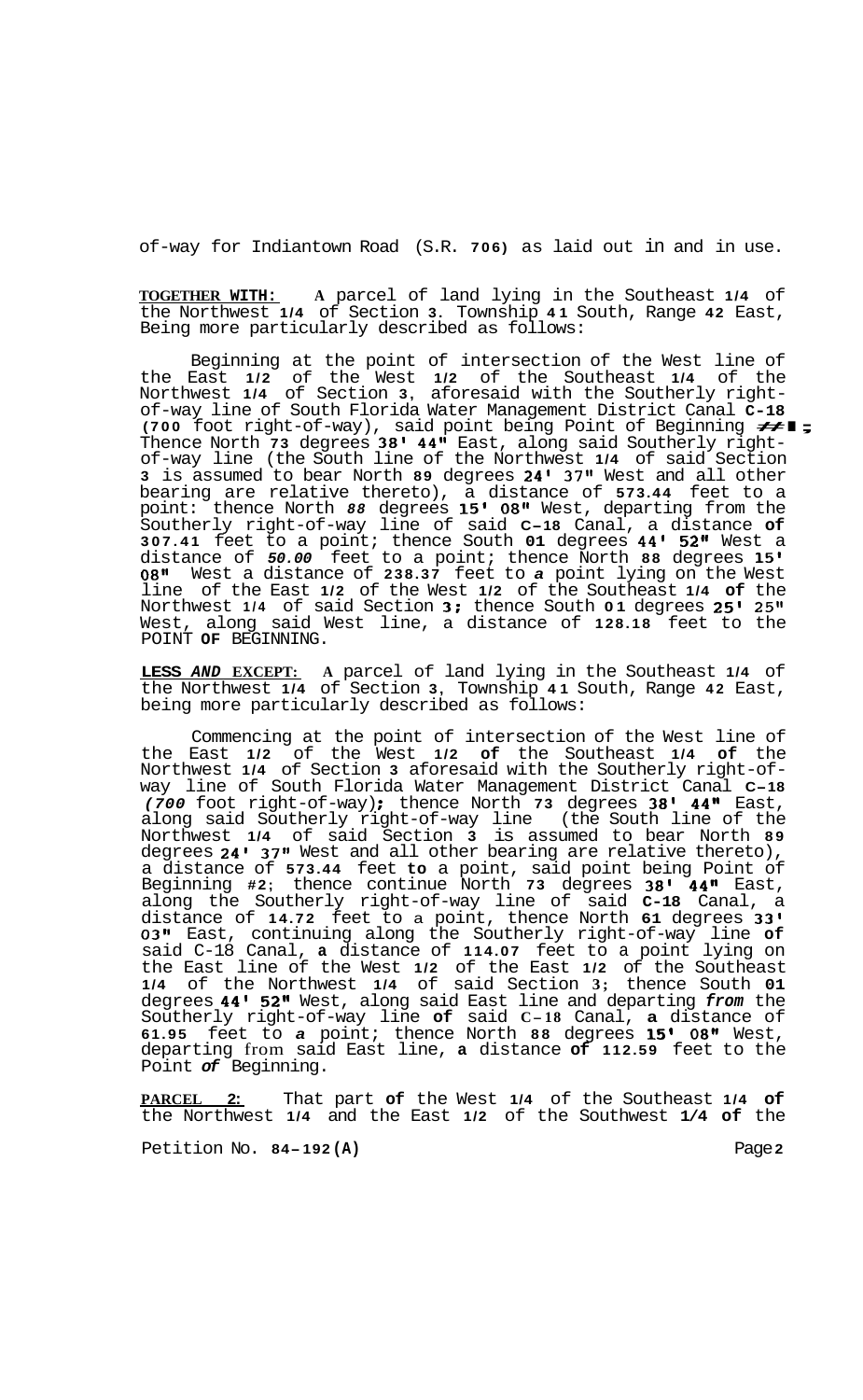of-way for Indiantown Road (S.R. **706)** as laid out in and in use.

**TOGETHER WITH: A** parcel of land lying in the Southeast **1/4** of the Northwest **1/4** of Section **3.** Township **41** South, Range **42** East, Being more particularly described as follows:

Beginning at the point of intersection of the West line of the East **1/2** of the West **1/2** of the Southeast **1/4** of the Northwest 1/4 of Section 3, aforesaid with the Southerly right-<br>of-way line of South Florida Water Management District Canal C-18<br>(700 foot right-of-way), said point being Point of Beginning <del>44</del> 5 Thence North **73** degrees **38' 44"** East, along said Southerly right- of-way line (the South line of the Northwest **1/4** of said Section **3** is assumed to bear North **89** degrees **24' 37'l** West and all other bearing are relative thereto), a distance of **573.44** feet to a point: thence North *88* degrees **15' 08"** West, departing from the Southerly right-of-way line of said **C-18** Canal, a distance **of 307.41** feet to a point; thence South **01** degrees **44' 52"** West a distance of *50.00* feet to a point; thence North **88** degrees **15' 08"** West a distance of **238.37** feet to *a* point lying on the West line of the East **1/2** of the West **1/2** of the Southeast **1/4 of** the Northwest **1/4** of said Section **3;** thence South **01** degrees **25' 25It**  West, along said West line, a distance of **128.18** feet to the POINT **OF** BEGINNING.

**LESS** *AND* **EXCEPT: A** parcel of land lying in the Southeast **1/4** of the Northwest **1/4** of Section **3,** Township **41** South, Range **42** East, being more particularly described as follows:

Commencing at the point of intersection of the West line of the East **1/2** of the West **1/2 of** the Southeast **1/4 of** the Northwest **1/4** of Section **3** aforesaid with the Southerly right-of- way line of South Florida Water Management District Canal **C-18**  *(700* foot right-of-way) : thence North **73** degrees **38' 44"** East, along said Southerly right-of-way line (the South line of the Northwest **1/4** of said Section **3** is assumed to bear North **89**  degrees **24' 37"** West and all other bearing are relative thereto), a distance of **573.44** feet **to** a point, said point being Point of Beginning **#2;** thence continue North **73** degrees **38' 44"** East, along the Southerly right-of-way line of said **C-18** Canal, a distance of **14.72** feet to a point, thence North **61** degrees **33' 03"** East, continuing along the Southerly right-of-way line **of**  said C-18 Canal, **a** distance of **114.07** feet to a point lying on the East line of the West **1/2** of the East **1/2** of the Southeast **1/4** of the Northwest **1/4** of said Section **3;** thence South **01**  degrees **44' 52"** West, along said East line and departing *from* the Southerly right-of-way line **of** said **C-18** Canal, **a** distance of **61.95** feet to *a* point; thence North **88** degrees **15'** *08"* West, departing from said East line, **a** distance **of 112.59** feet to the Point *of* Beginning.

**PARCEL 2:** That part **of** the West **1/4** of the Southeast **1/4 of**  the Northwest **1/4** and the East **1/2** of the Southwest **1/4 of** the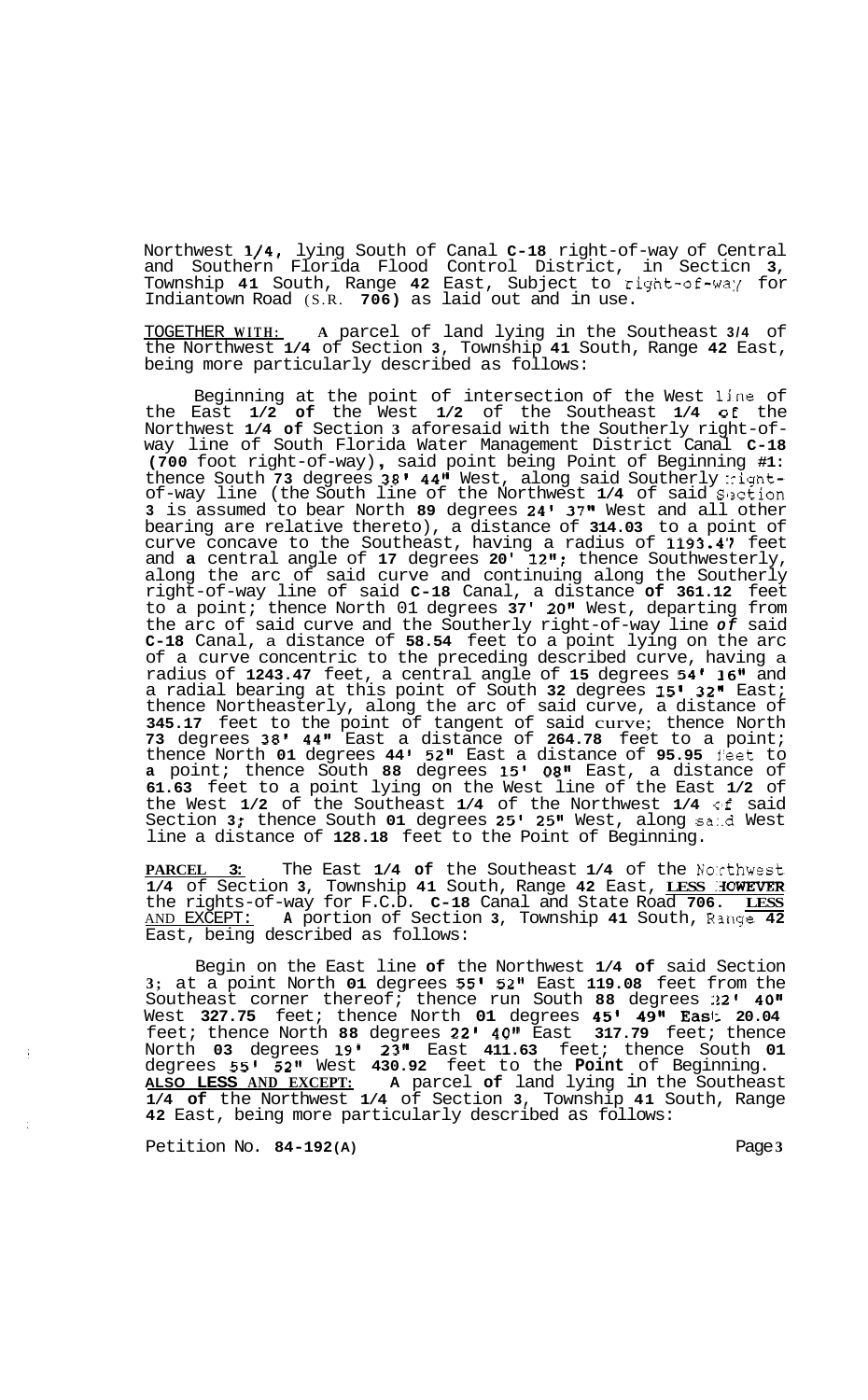Northwest **1/4,** lying South of Canal **C-18** right-of-way of Central and Southern Florida Flood Control District, in Secticn **3,**  Township **41** South, Range **42** East, Subject to right-of-wa:{ for Indiantown Road (S.R. **706)** as laid out and in use.

TOGETHER **WITH: A** parcel of land lying in the Southeast **3/4** of the Northwest **1/4** of Section **3,** Township **41** South, Range **42** East, being more particularly described as follows:

Beginning at the point of intersection of the West line of the East **1/2 of** the West **1/2** of the Southeast **1/4 OE** the Northwest **1/4 of** Section **3** aforesaid with the Southerly right-of- way line of South Florida Water Management District Canal **C-18 (700** foot right-of-way) , said point being Point of Beginning **#1:**  thence South 73 degrees 38' 44" West, along said Southerly :ightof-way line (the South line of the Northwest **1/4** of said Slxtion **3** is assumed to bear North **89** degrees **24' 37"** West and all other bearing are relative thereto), a distance of **314.03** to a point of curve concave to the Southeast, having a radius of **1193.4'7** feet and **a** central angle of **17** degrees **20' 12";** thence Southwesterly, along the arc of said curve and continuing along the Southerly right-of-way line of said **C-18** Canal, a distance **of 361.12** feet to a point; thence North 01 degrees **37' 20"** West, departing from the arc of said curve and the Southerly right-of-way line *of* said **C-18** Canal, a distance of **58.54** feet to a point lying on the arc of a curve concentric to the preceding described curve, having a radius of **1243.47** feet, a central angle of **15** degrees **54' 16"** and a radial bearing at this point of South **32** degrees **15' 32"** East; thence Northeasterly, along the arc of said curve, a distance of **345.17** feet to the point of tangent of said curve; thence North **73** degrees **38' 44"** East a distance of **264.78** feet to a point; thence North **01** degrees **44 52"** East a distance of **95.95** j'eet to **a** point; thence South **88** degrees **15' 08"** East, a distance of **61.63** feet to a point lying on the West line of the East **1/2** of the West **1/2** of the Southeast **1/4** of the Northwest **1/4** clf said Section **3** ; thence South **01** degrees **25' 25"** West, along sa:.d West line a distance of **128.18** feet to the Point of Beginning.

**PARCEL 3:** The East **1/4 of** the Southeast **1/4** of the No:cthwest **1/4** of Section **3,** Township **41** South, Range **42** East, **LESS :3OWEVER**  the rights-of-way for F.C.D. **C-18** Canal and State Road **706. LESS**  AND EXCEPT: **A** portion of Section **3,** Township **41** South, Rmge **42**  East, being described as follows:

Begin on the East line **of** the Northwest **1/4 of** said Section **3;** at a point North **01** degrees **55' 52"** East **119.08** feet from the Southeast corner thereof; thence run South **88** degrees **:!2' 40"**  West **327.75** feet; thence North **01** degrees **45I 49" East 20.04**  feet; thence North **88** degrees **22' 40"** East **317.79** feet; thence North **03** degrees **19' 23"** East **411.63** feet; thence South **01**  degrees **55'** *52"* West **430.92** feet to the **Point** of Beginning. **ALSO LESS AND EXCEPT: A** parcel **of** land lying in the Southeast **1/4 of** the Northwest **1/4** of Section **3,** Township **41** South, Range **42** East, being more particularly described as follows:

Petition No. 84-192(A) **Page 3 Page 3**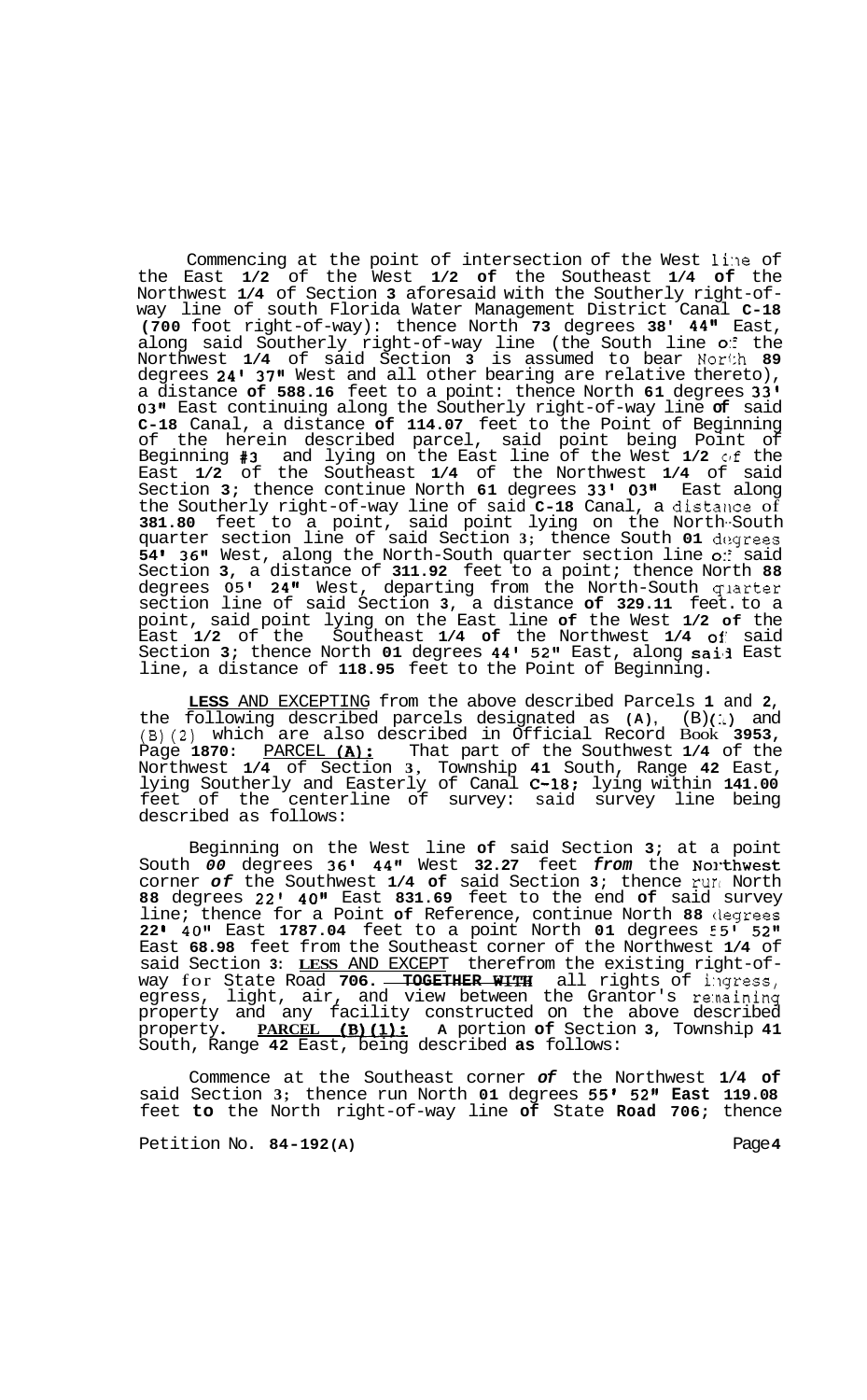Commencing at the point of intersection of the West line of the East **1/2** of the West **1/2 of** the Southeast **1/4 of** the Northwest **1/4** of Section **3** aforesaid with the Southerly right-of- way line of south Florida Water Management District Canal **C-18 (700** foot right-of-way): thence North **73** degrees **38' 44"** East, along said Southerly right-of-way line (the South line *0::* the Northwest **1/4** of said Section **3** is assumed to bear Nor1:h **89**  degrees **24' 37"** West and all other bearing are relative thereto), a distance **of 588.16** feet to a point: thence North **61** degrees **33' 03''** East continuing along the Southerly right-of-way line **of** said **C-18** Canal, a distance **of 114.07** feet to the Point of Beginning of the herein described parcel, said point being Point of Beginning **#3** and lying on the East line of the West **1/2** clf the East **1/2** of the Southeast **1/4** of the Northwest **1/4** of said Section **3;** thence continue North **61** degrees **33' 03"** East along the Southerly right-of-way line of said **C-18** Canal, a distance of **381.80** feet to a point, said point lying on the North--South quarter section line of said Section 3; thence South 01 degrees **54** \* **36"** West, along the North-South quarter section line *0::* said Section **3,** a distance of **311.92** feet to a point; thence North **88**  degrees **05' 24"** West, departing from the North-South qlarter section line of said Section **3,** a distance **of 329.11** feet. to a point, said point lying on the East line **of** the West **1/2 of** the East **1/2** of the Southeast **1/4 of** the Northwest **1/4 of** said Section **3;** thence North **01** degrees **44'** 52" East, along sai'3 East line, a distance of **118.95** feet to the Point of Beginning.

**LESS** AND EXCEPTING from the above described Parcels **1** and **2,**  the following described parcels designated as (A), (B)(:) and (B)(2) which are also described in Official Record Book **3953,**  Page **1870:** PARCEL **(A):** That part of the Southwest **1/4** of the Northwest **1/4** of Section **3,** Township **41** South, Range **42** East, lying Southerly and Easterly of Canal **C-18:** lying within **141.00**  feet of the centerline of survey: said survey line being described as follows:

Beginning on the West line **of** said Section **3;** at a point South *00* degrees **36' 44"** West **32.27** feet *from* the No]-thwest corner *of* the Southwest **1/4 of** said Section **3;** thence run North **88** degrees 22' **40"** East **831.69** feet to the end **of** said survey line; thence for a Point **of** Reference, continue North **88** clegrees **22 I 40"** East **1787.04** feet to a point North **01** degrees 55' **52"**  East **68.98** feet from the Southeast corner of the Northwest **1/4** of said Section **3: LESS** AND EXCEPT therefrom the existing right-of- way for State Road **706. TOGETHER WITzi** all rights of i:lgress, egress, light, air, and view between the Grantor's remaining property and any facility constructed on the above described property **PARCEL tB)[lI: A** portion **of** Section **3,** Township **41**  South, Range **42** East, being described **as** follows:

Commence at the Southeast corner *of* the Northwest **1/4 of**  said Section **3;** thence run North **01** degrees **55' 52" East 119.08**  feet **to** the North right-of-way line **of** State **Road 706;** thence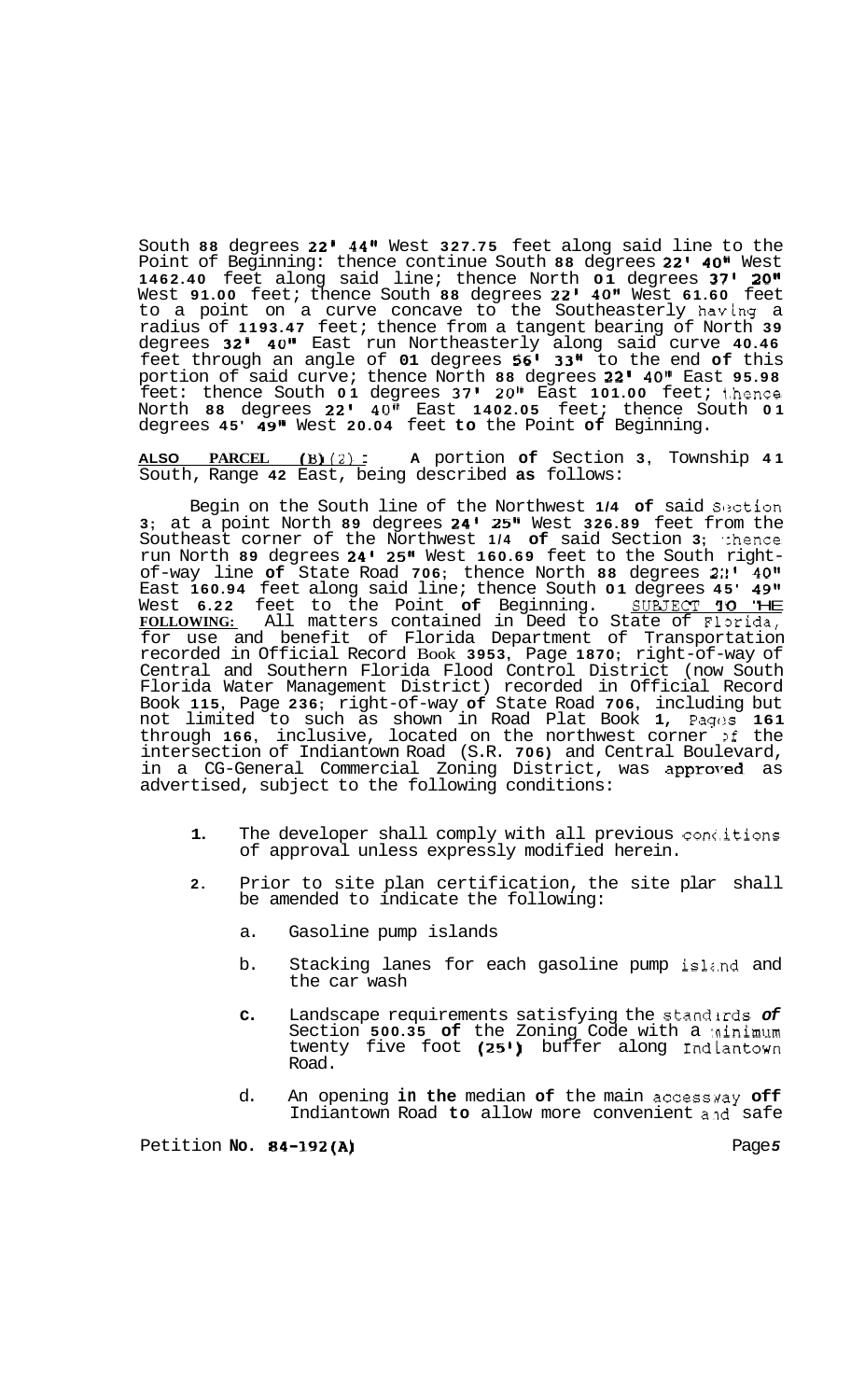South **88** degrees **22' 44"** West **327.75** feet along said line to the Point of Beginning: thence continue South **88** degrees **22' 40"** West **1462.40** feet along said line; thence North **01** degrees **37' 20"**  West **91.00** feet; thence South **88** degrees **22' 40''** West **61.60** feet to a point on a curve concave to the Southeasterly having a radius of **1193.47** feet; thence from a tangent bearing of North **39**  degrees **32' 40"** East run Northeasterly along said curve **40.46**  feet through an angle of **01** degrees **56' 33"** to the end **of** this portion of said curve; thence North **88** degrees **22' 40"** East **95.98**  feet: thence South **01** degrees **37'** *20''* East **101.00** feet; 1.hence North **88** degrees **22' 40"** East **1402.05** feet; thence South **01**  degrees **45' 49''** West **20.04** feet **to** the Point **of** Beginning.

**ALSO PARCEL IB) (2)** : **A** portion **of** Section **3,** Township **<sup>41</sup>** South, Range **42** East, being described **as** follows:

Begin on the South line of the Northwest 1/4 of said Section **3;** at a point North **89** degrees **24' 25"** West **326.89** feet from the Southeast corner of the Northwest 1/4 of said Section 3; thence run North **89** degrees **24' 25"** West **160.69** feet to the South right- of-way line **of** State Road **706;** thence North **88** degrees **2:!' 40''**  East **160.94** feet along said line; thence South **01** degrees **45' 49"**  West **6.22** feet to the Point **of** Beginning. **SUaJECT** *'IO* "HE West 6.22 feet to the Point of Beginning. SURJECT 10 THE FOLLOWING: All matters contained in Deed to State of Florida, for use and benefit of Florida Department of Transportation recorded in Official Record Book **3953,** Page **1870;** right-of-way of Central and Southern Florida Flood Control District (now South Florida Water Management District) recorded in Official Record Book **115,** Page **236;** right-of-way **of** State Road **706,** including but not limited to such as shown in Road Plat Book **1,** Pagc!s **161**  through 166, inclusive, located on the northwest corner of the intersection of Indiantown Road (S.R. **706)** and Central Boulevard, in a CG-General Commercial Zoning District, was approved as advertised, subject to the following conditions:

- **1.** The developer shall comply with all previous conc.itions of approval unless expressly modified herein.
- **2.** Prior to site plan certification, the site plar shall be amended to indicate the following:
	- a. Gasoline pump islands
	- b. Stacking lanes for each gasoline pump island and the car wash
	- **c.** Landscape requirements satisfying the stand'irds *of*  Section **500.35 of** the Zoning Code with a :ninimum twenty five foot **(25')** buffer along Indlantown Road.
	- d. An opening **in the** median **of** the main accessuay **off**  Indiantown Road to allow more convenient and safe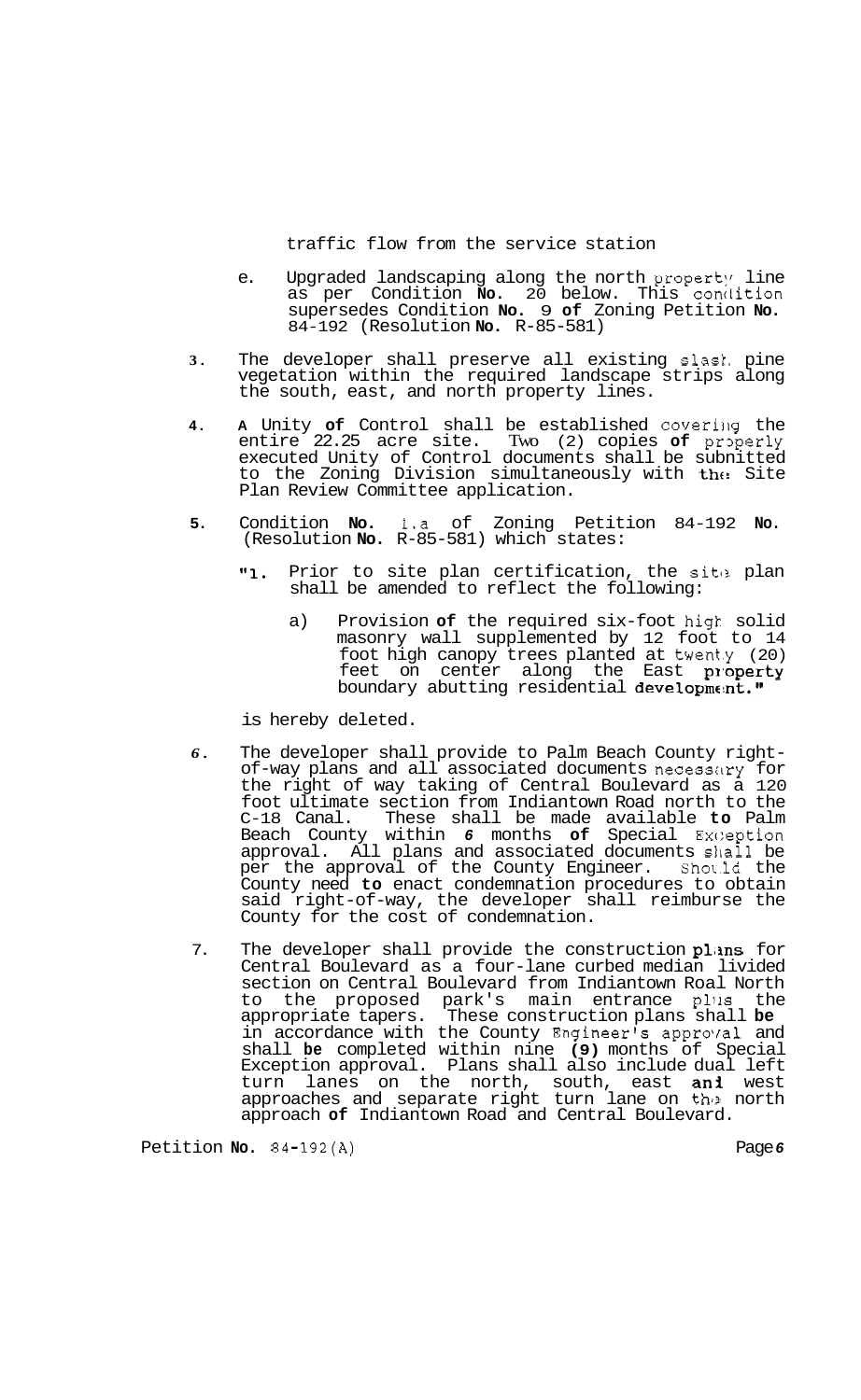traffic flow from the service station

- e. Upgraded landscaping along the north property line as per Condition **No.** 20 below. This condition supersedes Condition **No.** 9 **of** Zoning Petition **No.**  84-192 (Resolution **No.** R-85-581)
- **3.** The developer shall preserve all existing slask. pine vegetation within the required landscape strips along the south, east, and north property lines.
- **4.** A Unity of Control shall be established covering the entire 22.25 acre site. Two (2) copies **of** praperly executed Unity of Control documents shall be subnitted to the Zoning Division simultaneously with the Site Plan Review Committee application.
- **5.** Condition **No.** 1.a of Zoning Petition 84-192 **No.**  (Resolution **No.** R-85-581) which states:
	- "1. Prior to site plan certification, the site plan shall be amended to reflect the following:
		- a) Provision **of** the required six-foot higk solid masonry wall supplemented by 12 foot to 14 foot high canopy trees planted at twent.y (20) feet on center along the East property boundary abutting residential development."

is hereby deleted.

- **6.** The developer shall provide to Palm Beach County right-<br>of-way plans and all associated documents necessary for the right of way taking of Central Boulevard as a 120 foot ultimate section from Indiantown Road north to the C-18 Canal. These shall be made available **to** Palm Beach County within 6 months of Special Exception approval. All plans and associated documents sllall be per the approval of the County Engineer. Sho\.ld the County need **to** enact condemnation procedures to obtain said right-of-way, the developer shall reimburse the County for the cost of condemnation.
- 7. The developer shall provide the construction plans for Central Boulevard as a four-lane curbed median livided section on Central Boulevard from Indiantown Roal North to the proposed park's main entrance plus the appropriate tapers. These construction plans shall **be**  in accordance with the County Engineer's approyal and shall **be** completed within nine **(9)** months of Special Exception approval. Plans shall also include dual left turn lanes on the north, south, east **ani** west approaches and separate right turn lane on the north approach **of** Indiantown Road and Central Boulevard.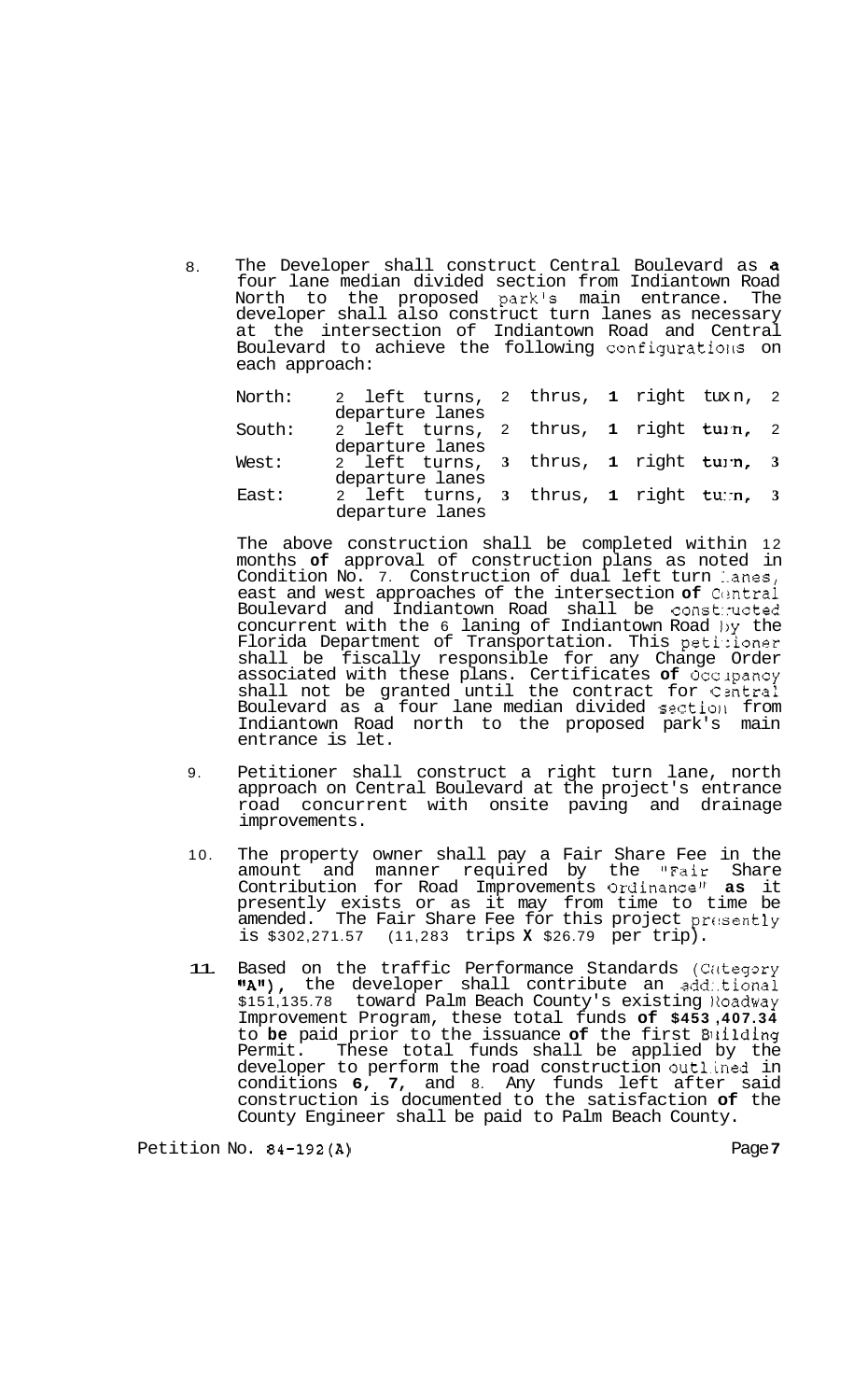8. The Developer shall construct Central Boulevard as a four lane median divided section from Indiantown Road North to the proposed parkls main entrance. The developer shall also construct turn lanes as necessary at the intersection of Indiantown Road and Central Boulevard to achieve the following configurations on each approach:

| North: | 2 left turns, 2 thrus, 1 right tuxn, 2<br>departure lanes |  |  |  |
|--------|-----------------------------------------------------------|--|--|--|
| South: | 2 left turns, 2 thrus, 1 right turn, 2<br>departure lanes |  |  |  |
| West:  | 2 left turns, 3 thrus, 1 right turn, 3<br>departure lanes |  |  |  |
| East:  | 2 left turns, 3 thrus, 1 right turn, 3<br>departure lanes |  |  |  |

The above construction shall be completed within 12 months **of** approval of construction plans as noted in Condition No. 7. Construction of dual left turn lanes, east and west approaches of the intersection of Central Boulevard and Indiantown Road shall be const:ructed concurrent with the 6 laning of Indiantown Road by the Florida Department of Transportation. This peti,:ioner shall be fiscally responsible for any Change Order associated with these plans. Certificates **of** Occlpancy shall not be granted until the contract for Central Boulevard as a four lane median divided section from Indiantown Road north to the proposed park's main entrance is let.

- 9. Petitioner shall construct a right turn lane, north approach on Central Boulevard at the project's entrance road concurrent with onsite paving and drainage improvements.
- 10. The property owner shall pay a Fair Share Fee in the amount and manner required by the "Fair Share Contribution for Road Improvements Ordinance" **as** it presently exists or as it may from time to time be amended. The Fair Share Fee for this project presently is \$302,271.57 (11,283 trips **X** \$26.79 per trip).
- 11. Based on the traffic Performance Standards (Cutegory "A"), the developer shall contribute an add:tional \$151,135.78 toward Palm Beach County's existing Noadway Improvement Program, these total funds **of \$453 ,407.34**  to **be** paid prior to the issuance **of** the first Blrilding Permit. These total funds shall be applied by the developer to perform the road construction outlined in conditions **6, 7,** and 8. Any funds left after said construction is documented to the satisfaction **of** the County Engineer shall be paid to Palm Beach County.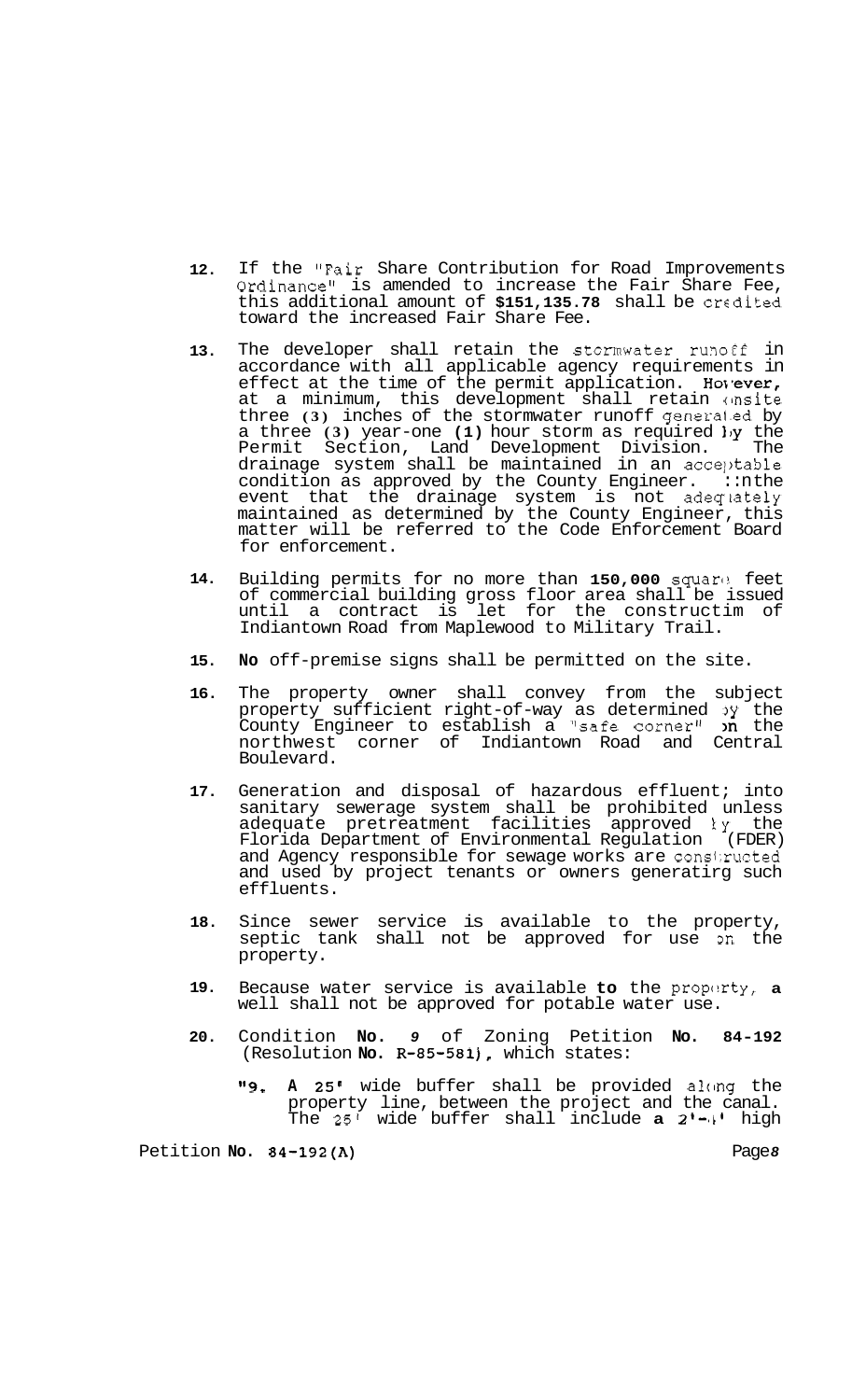- **12.**  If the "Fair Share Contribution for Road Improvements Ordinance" is amended to increase the Fair Share Fee, this additional amount of \$151,135.78 shall be credited toward the increased Fair Share Fee.
- **13.**  The developer shall retain the stormwater runoff in accordance with all applicable agency requirements in effect at the time of the permit application. Hovever, at a minimum, this development shall retain onsite three **(3)** inches of the stormwater runoff generai.ed by a three **(3)** year-one **(1)** hour storm as required  $\frac{1}{Y}$  the Permit Section, Land Development Division. The drainage system shall be maintained in an acce]>table condition as approved by the County Engineer.  $\cdot$ :nthe event that the drainage system is not adequately maintained as determined by the County Engineer, this matter will be referred to the Code Enforcement Board for enforcement.
- **14.**  Building permits for no more than 150,000 square feet of commercial building gross floor area shall be issued until a contract is let for the constructim of Indiantown Road from Maplewood to Military Trail.
- **15. No** off-premise signs shall be permitted on the site.
- **16.**  The property owner shall convey from the subject property sufficient right-of-way as determined 3y the County Engineer to establish a "safe corner"  $\lambda$ n the northwest corner of Indiantown Road and Central Boulevard.
- **17.**  Generation and disposal of hazardous effluent; into sanitary sewerage system shall be prohibited unless adequate pretreatment facilities approved ky the Florida Department of Environmental Regulation (FDER) and Agency responsible for sewage works are constructed and used by project tenants or owners generatirg such effluents.
- **18.**  Since sewer service is available to the property, septic tank shall not be approved for use 3n the property.
- **19.**  Because water service is available to the proporty, a well shall not be approved for potable water use.
- **20.**  Condition **No.** *9* of Zoning Petition **No. 84-192**  (Resolution **No. R-85-581),** which states:
	- **"9. A 25'** wide buffer shall be provided alcmg the property line, between the project and the canal. The **25'** wide buffer shall include **a 21-lL1** high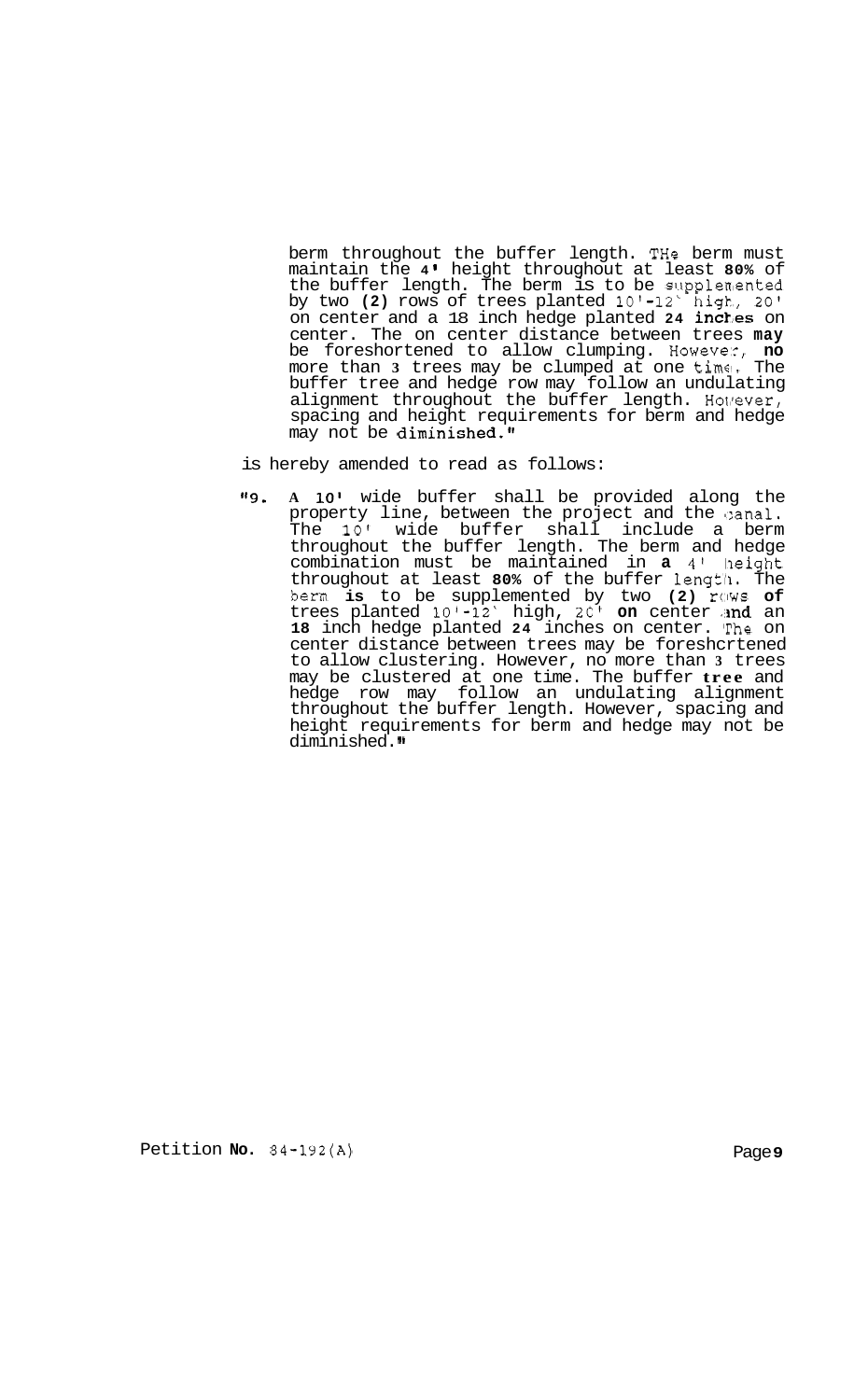berm throughout the buffer length. THe berm must maintain the **4** height throughout at least **80%** of the buffer length. The berm is to be supplemented by two **(2)** rows of trees planted 10'-12' high, 20' on center and a 18 inch hedge planted 24 inches on center. The on center distance between trees **may**  be foreshortened to allow clumping. Howeve::, **no**  more than **3** trees may be clumped at one time!. The buffer tree and hedge row may follow an undulating alignment throughout the buffer length. However, spacing and height requirements for berm and hedge may not be diminished."

- is hereby amended to read as follows:
- **If9. A 10'** wide buffer shall be provided along the property line, between the project and the sanal. The 10' wide buffer shall include a berm throughout the buffer length. The berm and hedge combination must be maintained in **a 4'** lheight throughout at least **80%** of the buffer lengtll. The berm **is** to be supplemented by two **(2)** rows **of**  trees planted 10'-12' high, 20' **on** center a**nd** an 18 inch hedge planted 24 inches on center. The on center distance between trees may be foreshcrtened to allow clustering. However, no more than **3** trees may be clustered at one time. The buffer **tree** and hedge row may follow an undulating alignment throughout the buffer length. However, spacing and height requirements for berm and hedge may not be diminished."